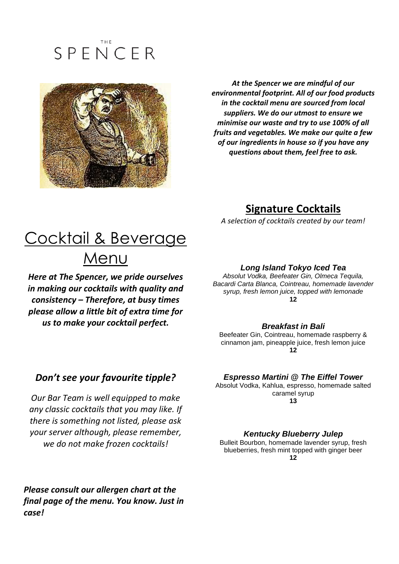# SPENCER



*At the Spencer we are mindful of our environmental footprint. All of our food products in the cocktail menu are sourced from local suppliers. We do our utmost to ensure we minimise our waste and try to use 100% of all fruits and vegetables. We make our quite a few of our ingredients in house so if you have any questions about them, feel free to ask.*

### **Signature Cocktails**

*A selection of cocktails created by our team!*

## Cocktail & Beverage Menu

*Here at The Spencer, we pride ourselves in making our cocktails with quality and consistency – Therefore, at busy times please allow a little bit of extra time for us to make your cocktail perfect.*

#### *Long Island Tokyo Iced Tea*

*Absolut Vodka, Beefeater Gin, Olmeca Tequila, Bacardi Carta Blanca, Cointreau, homemade lavender syrup, fresh lemon juice, topped with lemonade* **12**

#### *Breakfast in Bali*

Beefeater Gin, Cointreau, homemade raspberry & cinnamon jam, pineapple juice, fresh lemon juice **12**

#### *Espresso Martini @ The Eiffel Tower* Absolut Vodka, Kahlua, espresso, homemade salted

caramel syrup **13**

#### *Kentucky Blueberry Julep*

Bulleit Bourbon, homemade lavender syrup, fresh blueberries, fresh mint topped with ginger beer **12**

### *Don't see your favourite tipple?*

*Our Bar Team is well equipped to make any classic cocktails that you may like. If there is something not listed, please ask your server although, please remember, we do not make frozen cocktails!*

*Please consult our allergen chart at the final page of the menu. You know. Just in case!*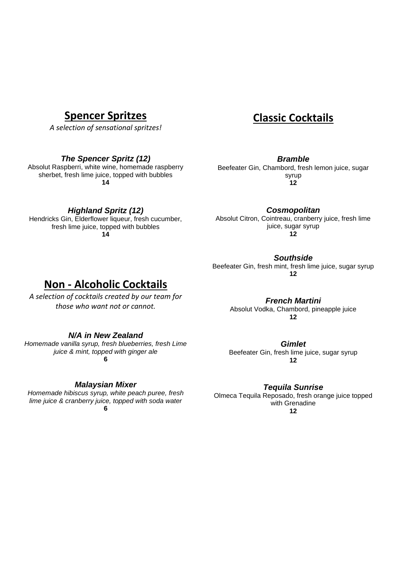### **Spencer Spritzes**

*A selection of sensational spritzes!*

#### *The Spencer Spritz (12)*

Absolut Raspberri, white wine, homemade raspberry sherbet, fresh lime juice, topped with bubbles **14**

*Highland Spritz (12)*

fresh lime juice, topped with bubbles **14**

### **Classic Cocktails**

*Bramble*

Beefeater Gin, Chambord, fresh lemon juice, sugar syrup **12**

Hendricks Gin, Elderflower liqueur, fresh cucumber,

Absolut Citron, Cointreau, cranberry juice, fresh lime juice, sugar syrup **12**

*Cosmopolitan*

*Southside*

Beefeater Gin, fresh mint, fresh lime juice, sugar syrup **12**

### **Non - Alcoholic Cocktails**

*A selection of cocktails created by our team for those who want not or cannot.*

*French Martini* Absolut Vodka, Chambord, pineapple juice **12**

#### *N/A in New Zealand*

*Homemade vanilla syrup, fresh blueberries, fresh Lime juice & mint, topped with ginger ale* **6**

*Malaysian Mixer*

*Homemade hibiscus syrup, white peach puree, fresh lime juice & cranberry juice, topped with soda water* **6**

*Gimlet* Beefeater Gin, fresh lime juice, sugar syrup

**12**

#### *Tequila Sunrise*

Olmeca Tequila Reposado, fresh orange juice topped with Grenadine **12**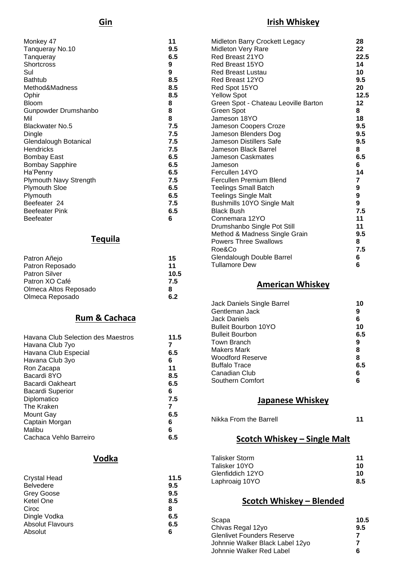### **Irish Whiskey**

| Monkey 47                     | 11  |
|-------------------------------|-----|
| Tanqueray No.10               | 9.5 |
| Tanqueray                     | 6.5 |
| Shortcross                    | 9   |
| Sul                           | 9   |
| <b>Bathtub</b>                | 8.5 |
| Method&Madness                | 8.5 |
| Ophir                         | 8.5 |
| <b>Bloom</b>                  | 8   |
| Gunpowder Drumshanbo          | 8   |
| Mil                           | 8   |
| <b>Blackwater No.5</b>        | 7.5 |
| Dingle                        | 7.5 |
| Glendalough Botanical         | 7.5 |
| <b>Hendricks</b>              | 7.5 |
| <b>Bombay East</b>            | 6.5 |
| <b>Bombay Sapphire</b>        | 6.5 |
| Ha'Penny                      | 6.5 |
| <b>Plymouth Navy Strength</b> | 7.5 |
| <b>Plymouth Sloe</b>          | 6.5 |
| Plymouth                      | 6.5 |
| Beefeater 24                  | 7.5 |
| <b>Beefeater Pink</b>         | 6.5 |
| Beefeater                     | 6   |

### **Tequila**

| 15   |
|------|
| 11   |
| 10.5 |
| 7.5  |
| 8    |
| 6.2  |
|      |

### **Rum & Cachaca**

| Havana Club Selection des Maestros | 11.5 |
|------------------------------------|------|
| Havana Club 7yo                    | 7    |
| Havana Club Especial               | 6.5  |
| Havana Club 3yo                    | 6    |
| Ron Zacapa                         | 11   |
| Bacardi 8YO                        | 8.5  |
| Bacardi Oakheart                   | 6.5  |
| Bacardi Superior                   | 6    |
| Diplomatico                        | 7.5  |
| The Kraken                         | 7    |
| Mount Gay                          | 6.5  |
| Captain Morgan                     | 6    |
| Malibu                             | 6    |
| Cachaca Vehlo Barreiro             | 6.5  |

#### **Vodka**

| <b>Crystal Head</b>     | 11.5 |
|-------------------------|------|
| <b>Belvedere</b>        | 9.5  |
| <b>Grey Goose</b>       | 9.5  |
| <b>Ketel One</b>        | 8.5  |
| Ciroc                   | 8    |
| Dingle Vodka            | 6.5  |
| <b>Absolut Flavours</b> | 6.5  |
| Absolut                 | 6    |

| Midleton Barry Crockett Legacy       | 28              |  |
|--------------------------------------|-----------------|--|
| Midleton Very Rare                   | 22              |  |
| Red Breast 21YO                      | 22.5            |  |
| Red Breast 15YO                      | 14              |  |
| <b>Red Breast Lustau</b>             | 10              |  |
| Red Breast 12YO                      | 9.5             |  |
| Red Spot 15YO                        | 20              |  |
| <b>Yellow Spot</b>                   | 12.5            |  |
| Green Spot - Chateau Leoville Barton | 12 <sub>2</sub> |  |
| Green Spot                           | 8               |  |
| Jameson 18YO                         | 18              |  |
| Jameson Coopers Croze                | 9.5             |  |
| Jameson Blenders Dog                 | 9.5             |  |
| Jameson Distillers Safe              | 9.5             |  |
| Jameson Black Barrel                 | 8               |  |
| <b>Jameson Caskmates</b>             | 6.5             |  |
| Jameson                              | 6               |  |
| Fercullen 14YO                       | 14              |  |
| Fercullen Premium Blend              | $\overline{7}$  |  |
| <b>Teelings Small Batch</b>          | 9               |  |
| <b>Teelings Single Malt</b>          | 9               |  |
| <b>Bushmills 10YO Single Malt</b>    | 9               |  |
| <b>Black Bush</b>                    | 7.5             |  |
| Connemara 12YO                       | 11              |  |
| Drumshanbo Single Pot Still          | 11              |  |
| Method & Madness Single Grain        | 9.5             |  |
| <b>Powers Three Swallows</b>         | 8               |  |
| Roe&Co                               | 7.5             |  |
| Glendalough Double Barrel            | 6               |  |
| <b>Tullamore Dew</b>                 | 6               |  |
|                                      |                 |  |

### **American Whiskey**

| Jack Daniels Single Barrel | 10  |
|----------------------------|-----|
| Gentleman Jack             | 9   |
| Jack Daniels               | 6   |
| Bulleit Bourbon 10YO       | 10  |
| <b>Bulleit Bourbon</b>     | 6.5 |
| Town Branch                | 9   |
| Makers Mark                | 8   |
| Woodford Reserve           | 8   |
| Buffalo Trace              | 6.5 |
| Canadian Club              | 6   |
| Southern Comfort           | 6   |

### **Japanese Whiskey**

| 11 |  |
|----|--|
|    |  |

### **Scotch Whiskey – Single Malt**

| Talisker Storm   | 11  |
|------------------|-----|
| Talisker 10YO    | 10  |
| Glenfiddich 12YO | 10  |
| Laphroaig 10YO   | 8.5 |

#### **Scotch Whiskey – Blended**

| Scapa                             | 10.5 |
|-----------------------------------|------|
| Chivas Regal 12yo                 | 9.5  |
| <b>Glenlivet Founders Reserve</b> |      |
| Johnnie Walker Black Label 12yo   |      |
| Johnnie Walker Red Label          | 6    |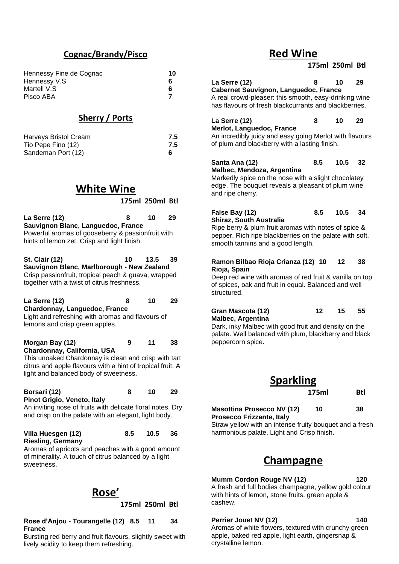#### **Cognac/Brandy/Pisco**

| Hennessy Fine de Cognac | 10 |
|-------------------------|----|
| Hennessy V.S.           | 6  |
| Martell V.S             | 6  |
| Pisco ABA               |    |

#### **Sherry / Ports**

| <b>Harveys Bristol Cream</b> | 7.5 |
|------------------------------|-----|
| Tio Pepe Fino (12)           | 7.5 |
| Sandeman Port (12)           |     |

### **White Wine**

**175ml 250ml Btl**

| La Serre (12)                                     | 8 | 10 | 29 |
|---------------------------------------------------|---|----|----|
| Sauvignon Blanc, Languedoc, France                |   |    |    |
| Powerful aromas of gooseberry & passionfruit with |   |    |    |
| hints of lemon zet. Crisp and light finish.       |   |    |    |

**St. Clair (12) 10 13.5 39 Sauvignon Blanc, Marlborough - New Zealand** Crisp passionfruit, tropical peach & guava, wrapped together with a twist of citrus freshness.

| La Serre (12)                                    | я | 10 | -29 |
|--------------------------------------------------|---|----|-----|
| Chardonnay, Languedoc, France                    |   |    |     |
| Light and refreshing with aromas and flavours of |   |    |     |

lemons and crisp green apples.

**Morgan Bay (12) 9 11 38 Chardonnay, California, USA**

This unoaked Chardonnay is clean and crisp with tart citrus and apple flavours with a hint of tropical fruit. A light and balanced body of sweetness.

### **Borsari (12) 8 10 29**

**Pinot Grigio, Veneto, Italy**

An inviting nose of fruits with delicate floral notes. Dry and crisp on the palate with an elegant, light body.

| Villa Huesgen (12)       | 8.5 | 10.5 | - 36 |
|--------------------------|-----|------|------|
| <b>Riesling, Germany</b> |     |      |      |

Aromas of apricots and peaches with a good amount of minerality. A touch of citrus balanced by a light sweetness.



**175ml 250ml Btl**

#### **Rose d'Anjou - Tourangelle (12) 8.5 11 34 France**

Bursting red berry and fruit flavours, slightly sweet with lively acidity to keep them refreshing.

### **Red Wine**

#### **175ml 250ml Btl**

**La Serre (12) 8 10 29 Cabernet Sauvignon, Languedoc, France** A real crowd-pleaser: this smooth, easy-drinking wine has flavours of fresh blackcurrants and blackberries. **La Serre (12) 8 10 29 Merlot, Languedoc, France** An incredibly juicy and easy going Merlot with flavours of plum and blackberry with a lasting finish. **Santa Ana (12) 8.5 10.5 32 Malbec, Mendoza, Argentina** Markedly spice on the nose with a slight chocolatey edge. The bouquet reveals a pleasant of plum wine and ripe cherry. **False Bay (12) 8.5 10.5 34**

### **Shiraz, South Australia**

Ripe berry & plum fruit aromas with notes of spice & pepper. Rich ripe blackberries on the palate with soft, smooth tannins and a good length.

#### **Ramon Bilbao Rioja Crianza (12) 10 12 38 Rioja, Spain**

Deep red wine with aromas of red fruit & vanilla on top of spices, oak and fruit in equal. Balanced and well structured.

#### **Gran Mascota (12) 12 15 55 Malbec, Argentina**

Dark, inky Malbec with good fruit and density on the palate. Well balanced with plum, blackberry and black peppercorn spice.

| <b>Sparkling</b> |     |
|------------------|-----|
| 175ml            | Btl |

#### **Masottina Prosecco NV (12) 10 38 Prosecco Frizzante, Italy**

Straw yellow with an intense fruity bouquet and a fresh harmonious palate. Light and Crisp finish.

### **Champagne**

**Mumm Cordon Rouge NV (12) 120**  A fresh and full bodies champagne, yellow gold colour with hints of lemon, stone fruits, green apple & cashew.

#### **Perrier Jouet NV (12) 140**

Aromas of white flowers, textured with crunchy green apple, baked red apple, light earth, gingersnap & crystalline lemon.